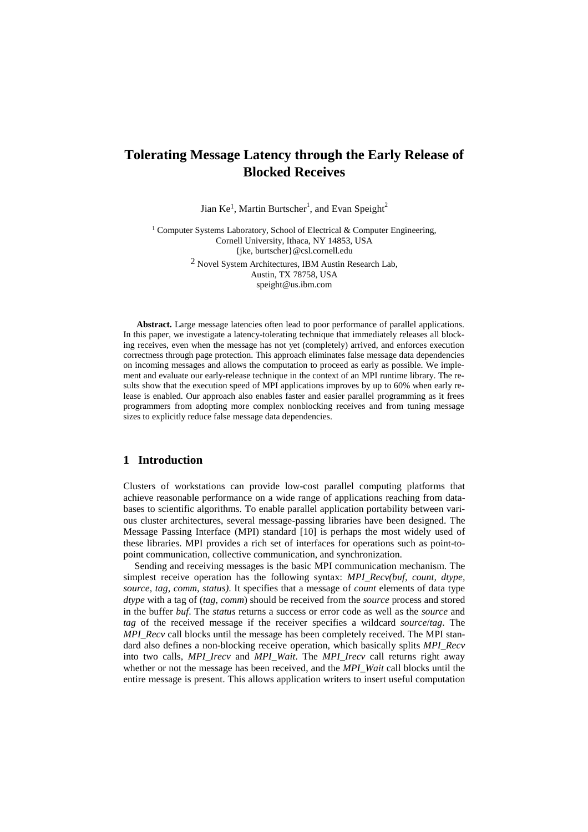# **Tolerating Message Latency through the Early Release of Blocked Receives**

Jian Ke<sup>1</sup>, Martin Burtscher<sup>1</sup>, and Evan Speight<sup>2</sup>

<sup>1</sup> Computer Systems Laboratory, School of Electrical & Computer Engineering, Cornell University, Ithaca, NY 14853, USA {jke, burtscher}@csl.cornell.edu 2 Novel System Architectures, IBM Austin Research Lab, Austin, TX 78758, USA speight@us.ibm.com

**Abstract.** Large message latencies often lead to poor performance of parallel applications. In this paper, we investigate a latency-tolerating technique that immediately releases all blocking receives, even when the message has not yet (completely) arrived, and enforces execution correctness through page protection. This approach eliminates false message data dependencies on incoming messages and allows the computation to proceed as early as possible. We implement and evaluate our early-release technique in the context of an MPI runtime library. The results show that the execution speed of MPI applications improves by up to 60% when early release is enabled. Our approach also enables faster and easier parallel programming as it frees programmers from adopting more complex nonblocking receives and from tuning message sizes to explicitly reduce false message data dependencies.

# **1 Introduction**

Clusters of workstations can provide low-cost parallel computing platforms that achieve reasonable performance on a wide range of applications reaching from databases to scientific algorithms. To enable parallel application portability between various cluster architectures, several message-passing libraries have been designed. The Message Passing Interface (MPI) standard [10] is perhaps the most widely used of these libraries. MPI provides a rich set of interfaces for operations such as point-topoint communication, collective communication, and synchronization.

Sending and receiving messages is the basic MPI communication mechanism. The simplest receive operation has the following syntax: *MPI\_Recv(buf, count, dtype, source, tag, comm, status)*. It specifies that a message of *count* elements of data type *dtype* with a tag of (*tag*, *comm*) should be received from the *source* process and stored in the buffer *buf*. The *status* returns a success or error code as well as the *source* and *tag* of the received message if the receiver specifies a wildcard *source*/*tag*. The *MPI\_Recv* call blocks until the message has been completely received. The MPI standard also defines a non-blocking receive operation, which basically splits *MPI\_Recv* into two calls, *MPI\_Irecv* and *MPI\_Wait*. The *MPI\_Irecv* call returns right away whether or not the message has been received, and the *MPI\_Wait* call blocks until the entire message is present. This allows application writers to insert useful computation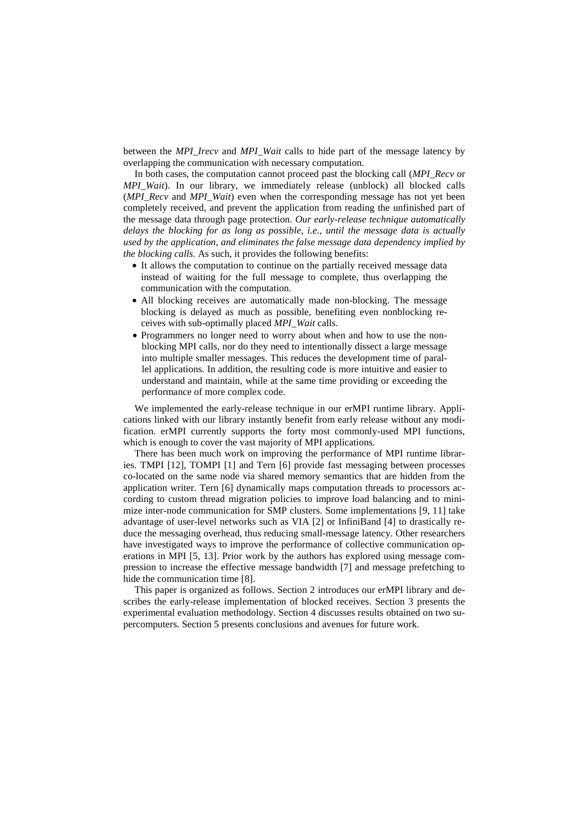between the *MPI\_Irecv* and *MPI\_Wait* calls to hide part of the message latency by overlapping the communication with necessary computation.

In both cases, the computation cannot proceed past the blocking call (*MPI\_Recv* or *MPI\_Wait*). In our library, we immediately release (unblock) all blocked calls (*MPI\_Recv* and *MPI\_Wait*) even when the corresponding message has not yet been completely received, and prevent the application from reading the unfinished part of the message data through page protection. *Our early-release technique automatically delays the blocking for as long as possible, i.e., until the message data is actually used by the application, and eliminates the false message data dependency implied by the blocking calls.* As such, it provides the following benefits:

- It allows the computation to continue on the partially received message data instead of waiting for the full message to complete, thus overlapping the communication with the computation.
- All blocking receives are automatically made non-blocking. The message blocking is delayed as much as possible, benefiting even nonblocking receives with sub-optimally placed *MPI\_Wait* calls.
- Programmers no longer need to worry about when and how to use the nonblocking MPI calls, nor do they need to intentionally dissect a large message into multiple smaller messages. This reduces the development time of parallel applications. In addition, the resulting code is more intuitive and easier to understand and maintain, while at the same time providing or exceeding the performance of more complex code.

We implemented the early-release technique in our erMPI runtime library. Applications linked with our library instantly benefit from early release without any modification. erMPI currently supports the forty most commonly-used MPI functions, which is enough to cover the vast majority of MPI applications.

There has been much work on improving the performance of MPI runtime libraries. TMPI [12], TOMPI [1] and Tern [6] provide fast messaging between processes co-located on the same node via shared memory semantics that are hidden from the application writer. Tern [6] dynamically maps computation threads to processors according to custom thread migration policies to improve load balancing and to minimize inter-node communication for SMP clusters. Some implementations [9, 11] take advantage of user-level networks such as VIA [2] or InfiniBand [4] to drastically reduce the messaging overhead, thus reducing small-message latency. Other researchers have investigated ways to improve the performance of collective communication operations in MPI [5, 13]. Prior work by the authors has explored using message compression to increase the effective message bandwidth [7] and message prefetching to hide the communication time [8].

This paper is organized as follows. Section 2 introduces our erMPI library and describes the early-release implementation of blocked receives. Section 3 presents the experimental evaluation methodology. Section 4 discusses results obtained on two supercomputers. Section 5 presents conclusions and avenues for future work.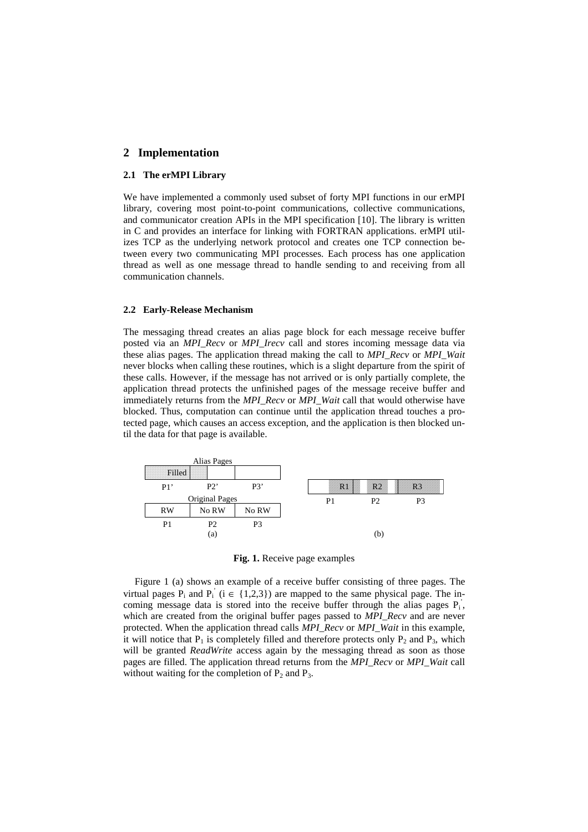#### **2 Implementation**

#### **2.1 The erMPI Library**

We have implemented a commonly used subset of forty MPI functions in our erMPI library, covering most point-to-point communications, collective communications, and communicator creation APIs in the MPI specification [10]. The library is written in C and provides an interface for linking with FORTRAN applications. erMPI utilizes TCP as the underlying network protocol and creates one TCP connection between every two communicating MPI processes. Each process has one application thread as well as one message thread to handle sending to and receiving from all communication channels.

#### **2.2 Early-Release Mechanism**

The messaging thread creates an alias page block for each message receive buffer posted via an *MPI\_Recv* or *MPI\_Irecv* call and stores incoming message data via these alias pages. The application thread making the call to *MPI\_Recv* or *MPI\_Wait* never blocks when calling these routines, which is a slight departure from the spirit of these calls. However, if the message has not arrived or is only partially complete, the application thread protects the unfinished pages of the message receive buffer and immediately returns from the *MPI\_Recv* or *MPI\_Wait* call that would otherwise have blocked. Thus, computation can continue until the application thread touches a protected page, which causes an access exception, and the application is then blocked until the data for that page is available.



**Fig. 1.** Receive page examples

Figure 1 (a) shows an example of a receive buffer consisting of three pages. The virtual pages  $P_i$  and  $P'_i$  (i  $\in \{1,2,3\}$ ) are mapped to the same physical page. The incoming message data is stored into the receive buffer through the alias pages  $P_i$ , which are created from the original buffer pages passed to *MPI\_Recv* and are never protected. When the application thread calls *MPI\_Recv* or *MPI\_Wait* in this example, it will notice that  $P_1$  is completely filled and therefore protects only  $P_2$  and  $P_3$ , which will be granted *ReadWrite* access again by the messaging thread as soon as those pages are filled. The application thread returns from the *MPI\_Recv* or *MPI\_Wait* call without waiting for the completion of  $P_2$  and  $P_3$ .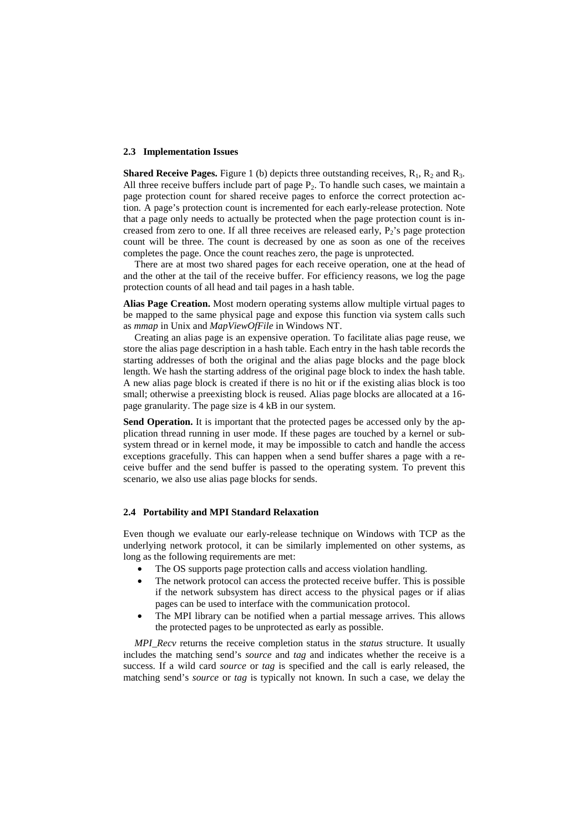#### **2.3 Implementation Issues**

**Shared Receive Pages.** Figure 1 (b) depicts three outstanding receives,  $R_1$ ,  $R_2$  and  $R_3$ . All three receive buffers include part of page  $P_2$ . To handle such cases, we maintain a page protection count for shared receive pages to enforce the correct protection action. A page's protection count is incremented for each early-release protection. Note that a page only needs to actually be protected when the page protection count is increased from zero to one. If all three receives are released early,  $P_2$ 's page protection count will be three. The count is decreased by one as soon as one of the receives completes the page. Once the count reaches zero, the page is unprotected.

There are at most two shared pages for each receive operation, one at the head of and the other at the tail of the receive buffer. For efficiency reasons, we log the page protection counts of all head and tail pages in a hash table.

**Alias Page Creation.** Most modern operating systems allow multiple virtual pages to be mapped to the same physical page and expose this function via system calls such as *mmap* in Unix and *MapViewOfFile* in Windows NT.

Creating an alias page is an expensive operation. To facilitate alias page reuse, we store the alias page description in a hash table. Each entry in the hash table records the starting addresses of both the original and the alias page blocks and the page block length. We hash the starting address of the original page block to index the hash table. A new alias page block is created if there is no hit or if the existing alias block is too small; otherwise a preexisting block is reused. Alias page blocks are allocated at a 16 page granularity. The page size is 4 kB in our system.

**Send Operation.** It is important that the protected pages be accessed only by the application thread running in user mode. If these pages are touched by a kernel or subsystem thread or in kernel mode, it may be impossible to catch and handle the access exceptions gracefully. This can happen when a send buffer shares a page with a receive buffer and the send buffer is passed to the operating system. To prevent this scenario, we also use alias page blocks for sends.

#### **2.4 Portability and MPI Standard Relaxation**

Even though we evaluate our early-release technique on Windows with TCP as the underlying network protocol, it can be similarly implemented on other systems, as long as the following requirements are met:

- The OS supports page protection calls and access violation handling.
- The network protocol can access the protected receive buffer. This is possible if the network subsystem has direct access to the physical pages or if alias pages can be used to interface with the communication protocol.
- The MPI library can be notified when a partial message arrives. This allows the protected pages to be unprotected as early as possible.

*MPI\_Recv* returns the receive completion status in the *status* structure. It usually includes the matching send's *source* and *tag* and indicates whether the receive is a success. If a wild card *source* or *tag* is specified and the call is early released, the matching send's *source* or *tag* is typically not known. In such a case, we delay the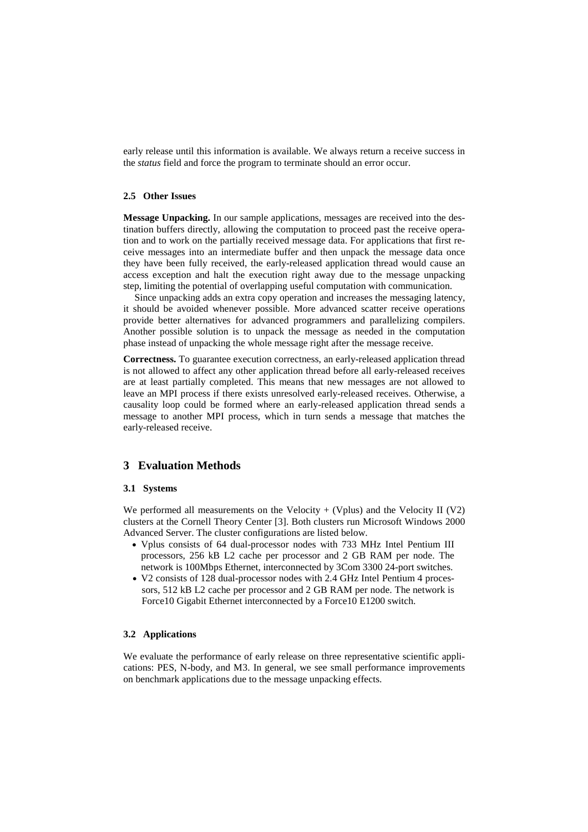early release until this information is available. We always return a receive success in the *status* field and force the program to terminate should an error occur.

#### **2.5 Other Issues**

**Message Unpacking.** In our sample applications, messages are received into the destination buffers directly, allowing the computation to proceed past the receive operation and to work on the partially received message data. For applications that first receive messages into an intermediate buffer and then unpack the message data once they have been fully received, the early-released application thread would cause an access exception and halt the execution right away due to the message unpacking step, limiting the potential of overlapping useful computation with communication.

Since unpacking adds an extra copy operation and increases the messaging latency, it should be avoided whenever possible. More advanced scatter receive operations provide better alternatives for advanced programmers and parallelizing compilers. Another possible solution is to unpack the message as needed in the computation phase instead of unpacking the whole message right after the message receive.

**Correctness.** To guarantee execution correctness, an early-released application thread is not allowed to affect any other application thread before all early-released receives are at least partially completed. This means that new messages are not allowed to leave an MPI process if there exists unresolved early-released receives. Otherwise, a causality loop could be formed where an early-released application thread sends a message to another MPI process, which in turn sends a message that matches the early-released receive.

## **3 Evaluation Methods**

#### **3.1 Systems**

We performed all measurements on the Velocity  $+$  (Vplus) and the Velocity II (V2) clusters at the Cornell Theory Center [3]. Both clusters run Microsoft Windows 2000 Advanced Server. The cluster configurations are listed below.

- Vplus consists of 64 dual-processor nodes with 733 MHz Intel Pentium III processors, 256 kB L2 cache per processor and 2 GB RAM per node. The network is 100Mbps Ethernet, interconnected by 3Com 3300 24-port switches.
- V2 consists of 128 dual-processor nodes with 2.4 GHz Intel Pentium 4 processors, 512 kB L2 cache per processor and 2 GB RAM per node. The network is Force10 Gigabit Ethernet interconnected by a Force10 E1200 switch.

#### **3.2 Applications**

We evaluate the performance of early release on three representative scientific applications: PES, N-body, and M3. In general, we see small performance improvements on benchmark applications due to the message unpacking effects.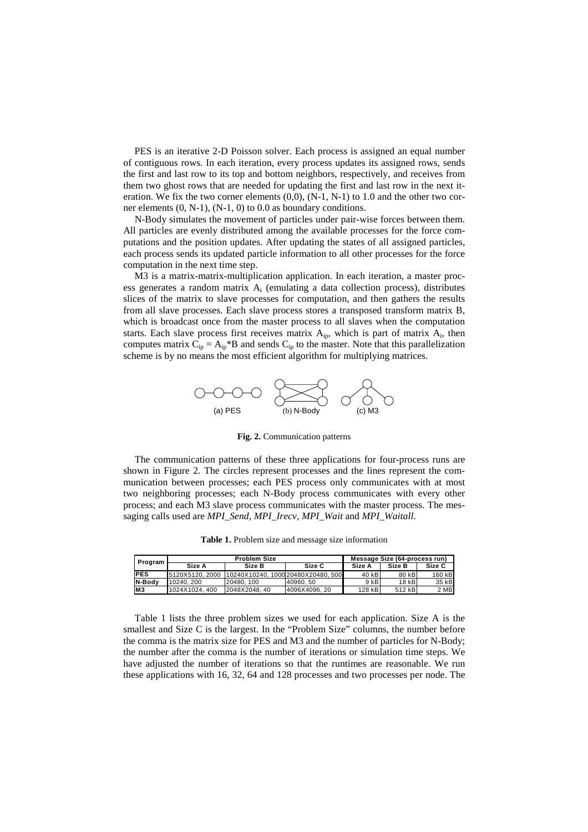PES is an iterative 2-D Poisson solver. Each process is assigned an equal number of contiguous rows. In each iteration, every process updates its assigned rows, sends the first and last row to its top and bottom neighbors, respectively, and receives from them two ghost rows that are needed for updating the first and last row in the next iteration. We fix the two corner elements  $(0,0)$ ,  $(N-1, N-1)$  to 1.0 and the other two corner elements  $(0, N-1)$ ,  $(N-1, 0)$  to 0.0 as boundary conditions.

N-Body simulates the movement of particles under pair-wise forces between them. All particles are evenly distributed among the available processes for the force computations and the position updates. After updating the states of all assigned particles, each process sends its updated particle information to all other processes for the force computation in the next time step.

M3 is a matrix-matrix-multiplication application. In each iteration, a master process generates a random matrix  $A_i$  (emulating a data collection process), distributes slices of the matrix to slave processes for computation, and then gathers the results from all slave processes. Each slave process stores a transposed transform matrix B, which is broadcast once from the master process to all slaves when the computation starts. Each slave process first receives matrix  $A_{ip}$ , which is part of matrix  $A_i$ , then computes matrix  $C_{ip} = A_{ip} * B$  and sends  $C_{ip}$  to the master. Note that this parallelization scheme is by no means the most efficient algorithm for multiplying matrices.



**Fig. 2.** Communication patterns

The communication patterns of these three applications for four-process runs are shown in Figure 2. The circles represent processes and the lines represent the communication between processes; each PES process only communicates with at most two neighboring processes; each N-Body process communicates with every other process; and each M3 slave process communicates with the master process. The messaging calls used are *MPI\_Send*, *MPI\_Irecv*, *MPI\_Wait* and *MPI\_Waitall*.

**Table 1.** Problem size and message size information

| Program        |                 | Message Size (64-process run)      |               |        |         |        |
|----------------|-----------------|------------------------------------|---------------|--------|---------|--------|
|                | Size A          | Size B                             | Size C        | Size A | Size B  | Size C |
| <b>IPES</b>    | 5120X5120, 2000 | 10240X10240, 1000 20480X20480, 500 |               | 40 kB  | 80 kB   | 160 kB |
| <b>N-Body</b>  | 10240, 200      | 20480.100                          | 40960.50      | 9 kB   | $18$ kB | 35 kB  |
| M <sub>3</sub> | 1024X1024, 400  | 2048X2048, 40                      | 4096X4096, 20 | 128 kB | 512 kB  | 2 MB   |

Table 1 lists the three problem sizes we used for each application. Size A is the smallest and Size C is the largest. In the "Problem Size" columns, the number before the comma is the matrix size for PES and M3 and the number of particles for N-Body; the number after the comma is the number of iterations or simulation time steps. We have adjusted the number of iterations so that the runtimes are reasonable. We run these applications with 16, 32, 64 and 128 processes and two processes per node. The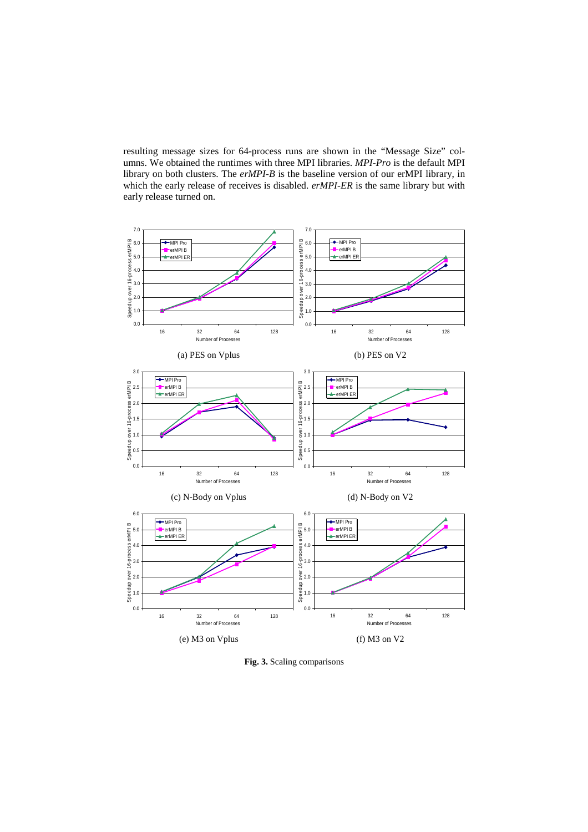resulting message sizes for 64-process runs are shown in the "Message Size" columns. We obtained the runtimes with three MPI libraries. *MPI-Pro* is the default MPI library on both clusters. The *erMPI-B* is the baseline version of our erMPI library, in which the early release of receives is disabled. *erMPI-ER* is the same library but with early release turned on.



**Fig. 3.** Scaling comparisons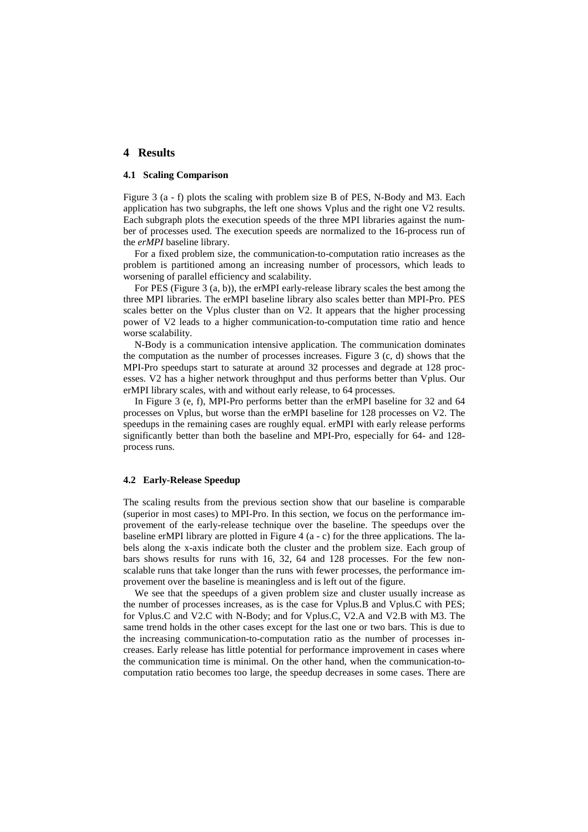### **4 Results**

#### **4.1 Scaling Comparison**

Figure 3 (a - f) plots the scaling with problem size B of PES, N-Body and M3. Each application has two subgraphs, the left one shows Vplus and the right one V2 results. Each subgraph plots the execution speeds of the three MPI libraries against the number of processes used. The execution speeds are normalized to the 16-process run of the *erMPI* baseline library.

For a fixed problem size, the communication-to-computation ratio increases as the problem is partitioned among an increasing number of processors, which leads to worsening of parallel efficiency and scalability.

For PES (Figure 3 (a, b)), the erMPI early-release library scales the best among the three MPI libraries. The erMPI baseline library also scales better than MPI-Pro. PES scales better on the Vplus cluster than on V2. It appears that the higher processing power of V2 leads to a higher communication-to-computation time ratio and hence worse scalability.

N-Body is a communication intensive application. The communication dominates the computation as the number of processes increases. Figure  $3$  (c, d) shows that the MPI-Pro speedups start to saturate at around 32 processes and degrade at 128 processes. V2 has a higher network throughput and thus performs better than Vplus. Our erMPI library scales, with and without early release, to 64 processes.

In Figure 3 (e, f), MPI-Pro performs better than the erMPI baseline for 32 and 64 processes on Vplus, but worse than the erMPI baseline for 128 processes on V2. The speedups in the remaining cases are roughly equal. erMPI with early release performs significantly better than both the baseline and MPI-Pro, especially for 64- and 128 process runs.

#### **4.2 Early-Release Speedup**

The scaling results from the previous section show that our baseline is comparable (superior in most cases) to MPI-Pro. In this section, we focus on the performance improvement of the early-release technique over the baseline. The speedups over the baseline erMPI library are plotted in Figure 4 (a - c) for the three applications. The labels along the x-axis indicate both the cluster and the problem size. Each group of bars shows results for runs with 16, 32, 64 and 128 processes. For the few nonscalable runs that take longer than the runs with fewer processes, the performance improvement over the baseline is meaningless and is left out of the figure.

We see that the speedups of a given problem size and cluster usually increase as the number of processes increases, as is the case for Vplus.B and Vplus.C with PES; for Vplus.C and V2.C with N-Body; and for Vplus.C, V2.A and V2.B with M3. The same trend holds in the other cases except for the last one or two bars. This is due to the increasing communication-to-computation ratio as the number of processes increases. Early release has little potential for performance improvement in cases where the communication time is minimal. On the other hand, when the communication-tocomputation ratio becomes too large, the speedup decreases in some cases. There are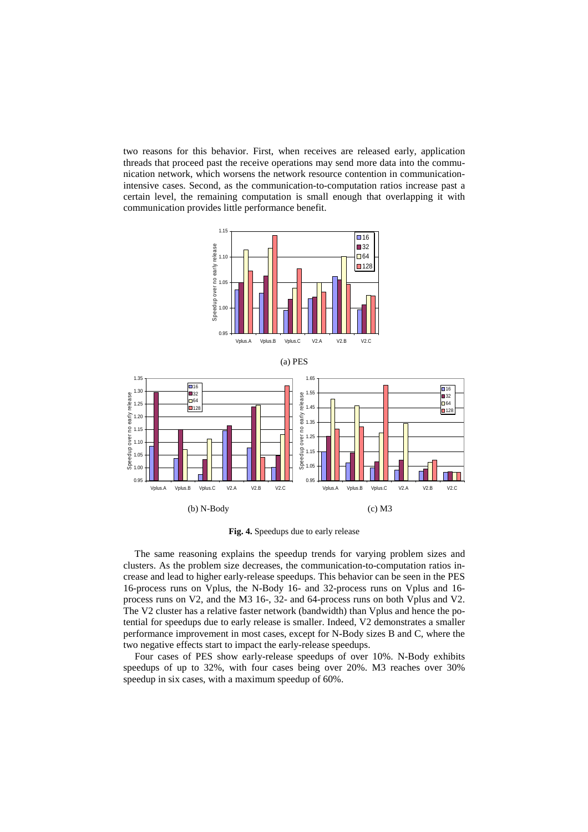two reasons for this behavior. First, when receives are released early, application threads that proceed past the receive operations may send more data into the communication network, which worsens the network resource contention in communicationintensive cases. Second, as the communication-to-computation ratios increase past a certain level, the remaining computation is small enough that overlapping it with communication provides little performance benefit.







The same reasoning explains the speedup trends for varying problem sizes and clusters. As the problem size decreases, the communication-to-computation ratios increase and lead to higher early-release speedups. This behavior can be seen in the PES 16-process runs on Vplus, the N-Body 16- and 32-process runs on Vplus and 16 process runs on V2, and the M3 16-, 32- and 64-process runs on both Vplus and V2. The V2 cluster has a relative faster network (bandwidth) than Vplus and hence the potential for speedups due to early release is smaller. Indeed, V2 demonstrates a smaller performance improvement in most cases, except for N-Body sizes B and C, where the two negative effects start to impact the early-release speedups.

Four cases of PES show early-release speedups of over 10%. N-Body exhibits speedups of up to 32%, with four cases being over 20%. M3 reaches over 30% speedup in six cases, with a maximum speedup of 60%.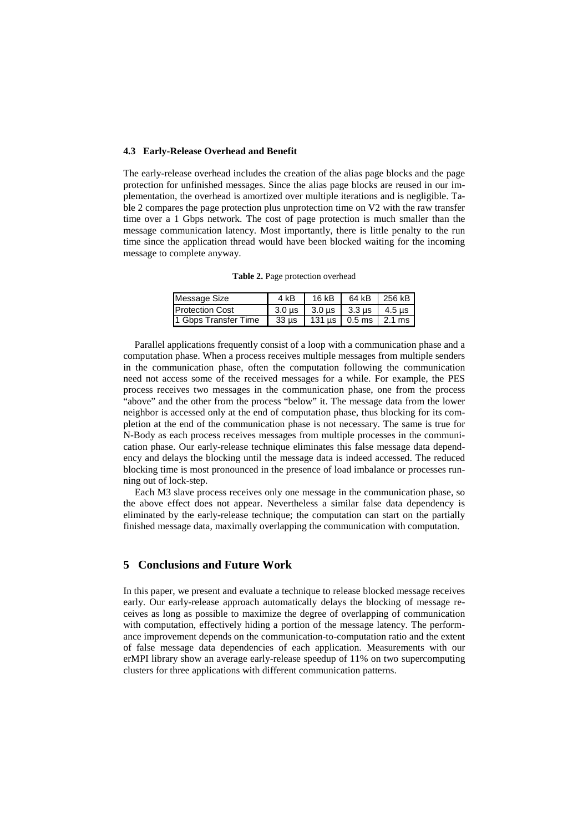#### **4.3 Early-Release Overhead and Benefit**

The early-release overhead includes the creation of the alias page blocks and the page protection for unfinished messages. Since the alias page blocks are reused in our implementation, the overhead is amortized over multiple iterations and is negligible. Table 2 compares the page protection plus unprotection time on V2 with the raw transfer time over a 1 Gbps network. The cost of page protection is much smaller than the message communication latency. Most importantly, there is little penalty to the run time since the application thread would have been blocked waiting for the incoming message to complete anyway.

**Table 2.** Page protection overhead

| Message Size                                            | 4 kB |                                                                                               | 16 kB   64 kB   256 kB |  |
|---------------------------------------------------------|------|-----------------------------------------------------------------------------------------------|------------------------|--|
| <b>Protection Cost</b>                                  |      | $3.0 \,\mathrm{\upmu s}$ 3.0 $\mathrm{\upmu s}$ 3.3 $\mathrm{\upmu s}$ 4.5 $\mathrm{\upmu s}$ |                        |  |
| 1 Gbps Transfer Time   33 us   131 us   0.5 ms   2.1 ms |      |                                                                                               |                        |  |

Parallel applications frequently consist of a loop with a communication phase and a computation phase. When a process receives multiple messages from multiple senders in the communication phase, often the computation following the communication need not access some of the received messages for a while. For example, the PES process receives two messages in the communication phase, one from the process "above" and the other from the process "below" it. The message data from the lower neighbor is accessed only at the end of computation phase, thus blocking for its completion at the end of the communication phase is not necessary. The same is true for N-Body as each process receives messages from multiple processes in the communication phase. Our early-release technique eliminates this false message data dependency and delays the blocking until the message data is indeed accessed. The reduced blocking time is most pronounced in the presence of load imbalance or processes running out of lock-step.

Each M3 slave process receives only one message in the communication phase, so the above effect does not appear. Nevertheless a similar false data dependency is eliminated by the early-release technique; the computation can start on the partially finished message data, maximally overlapping the communication with computation.

#### **5 Conclusions and Future Work**

In this paper, we present and evaluate a technique to release blocked message receives early. Our early-release approach automatically delays the blocking of message receives as long as possible to maximize the degree of overlapping of communication with computation, effectively hiding a portion of the message latency. The performance improvement depends on the communication-to-computation ratio and the extent of false message data dependencies of each application. Measurements with our erMPI library show an average early-release speedup of 11% on two supercomputing clusters for three applications with different communication patterns.